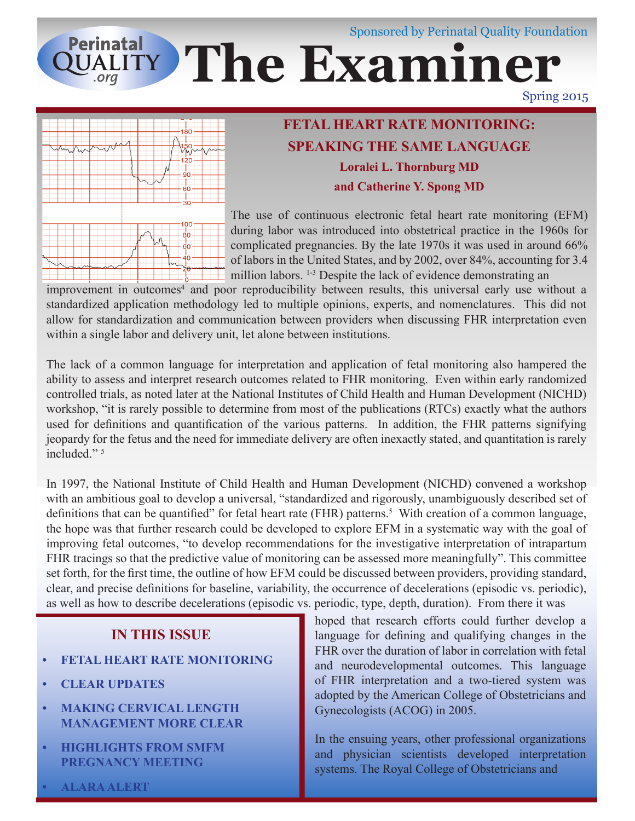# Sponsored by Perinatal Quality Foundation **Perinatal QUALITY The Examiner**

Spring 2015



## **FETAL HEART RATE MONITORING: SPEAKING THE SAME LANGUAGE Loralei L. Thornburg MD and Catherine Y. Spong MD**

The use of continuous electronic fetal heart rate monitoring (EFM) during labor was introduced into obstetrical practice in the 1960s for complicated pregnancies. By the late 1970s it was used in around 66% of labors in the United States, and by 2002, over 84%, accounting for 3.4 million labors. <sup>1-3</sup> Despite the lack of evidence demonstrating an

improvement in outcomes<sup>4</sup> and poor reproducibility between results, this universal early use without a standardized application methodology led to multiple opinions, experts, and nomenclatures. This did not allow for standardization and communication between providers when discussing FHR interpretation even within a single labor and delivery unit, let alone between institutions.

The lack of a common language for interpretation and application of fetal monitoring also hampered the ability to assess and interpret research outcomes related to FHR monitoring. Even within early randomized controlled trials, as noted later at the National Institutes of Child Health and Human Development (NICHD) workshop, "it is rarely possible to determine from most of the publications (RTCs) exactly what the authors used for definitions and quantification of the various patterns. In addition, the FHR patterns signifying jeopardy for the fetus and the need for immediate delivery are often inexactly stated, and quantitation is rarely included<sup>" 5</sup>

In 1997, the National Institute of Child Health and Human Development (NICHD) convened a workshop with an ambitious goal to develop a universal, "standardized and rigorously, unambiguously described set of definitions that can be quantified" for fetal heart rate (FHR) patterns.<sup>5</sup> With creation of a common language, the hope was that further research could be developed to explore EFM in a systematic way with the goal of improving fetal outcomes, "to develop recommendations for the investigative interpretation of intrapartum FHR tracings so that the predictive value of monitoring can be assessed more meaningfully". This committee set forth, for the first time, the outline of how EFM could be discussed between providers, providing standard, clear, and precise definitions for baseline, variability, the occurrence of decelerations (episodic vs. periodic), as well as how to describe decelerations (episodic vs. periodic, type, depth, duration). From there it was

### **IN THIS ISSUE**

- **• FETAL HEART RATE MONITORING**
- **• CLEAR UPDATES**
- **• MAKING CERVICAL LENGTH MANAGEMENT MORE CLEAR**
- **• HIGHLIGHTS FROM SMFM PREGNANCY MEETING**

hoped that research efforts could further develop a language for defining and qualifying changes in the FHR over the duration of labor in correlation with fetal and neurodevelopmental outcomes. This language of FHR interpretation and a two-tiered system was adopted by the American College of Obstetricians and Gynecologists (ACOG) in 2005.

In the ensuing years, other professional organizations and physician scientists developed interpretation systems. The Royal College of Obstetricians and

**• ALARA ALERT**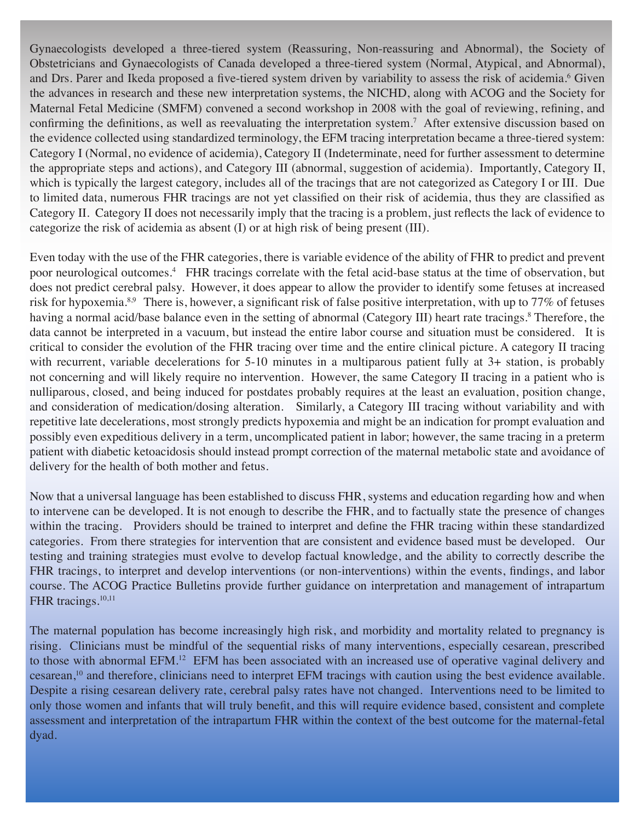Gynaecologists developed a three-tiered system (Reassuring, Non-reassuring and Abnormal), the Society of Obstetricians and Gynaecologists of Canada developed a three-tiered system (Normal, Atypical, and Abnormal), and Drs. Parer and Ikeda proposed a five-tiered system driven by variability to assess the risk of acidemia.<sup>6</sup> Given the advances in research and these new interpretation systems, the NICHD, along with ACOG and the Society for Maternal Fetal Medicine (SMFM) convened a second workshop in 2008 with the goal of reviewing, refining, and confirming the definitions, as well as reevaluating the interpretation system.<sup>7</sup> After extensive discussion based on the evidence collected using standardized terminology, the EFM tracing interpretation became a three-tiered system: Category I (Normal, no evidence of acidemia), Category II (Indeterminate, need for further assessment to determine the appropriate steps and actions), and Category III (abnormal, suggestion of acidemia). Importantly, Category II, which is typically the largest category, includes all of the tracings that are not categorized as Category I or III. Due to limited data, numerous FHR tracings are not yet classified on their risk of acidemia, thus they are classified as Category II. Category II does not necessarily imply that the tracing is a problem, just reflects the lack of evidence to categorize the risk of acidemia as absent (I) or at high risk of being present (III).

Even today with the use of the FHR categories, there is variable evidence of the ability of FHR to predict and prevent poor neurological outcomes.4 FHR tracings correlate with the fetal acid-base status at the time of observation, but does not predict cerebral palsy. However, it does appear to allow the provider to identify some fetuses at increased risk for hypoxemia.<sup>8,9</sup> There is, however, a significant risk of false positive interpretation, with up to 77% of fetuses having a normal acid/base balance even in the setting of abnormal (Category III) heart rate tracings.<sup>8</sup> Therefore, the data cannot be interpreted in a vacuum, but instead the entire labor course and situation must be considered. It is critical to consider the evolution of the FHR tracing over time and the entire clinical picture. A category II tracing with recurrent, variable decelerations for 5-10 minutes in a multiparous patient fully at 3+ station, is probably not concerning and will likely require no intervention. However, the same Category II tracing in a patient who is nulliparous, closed, and being induced for postdates probably requires at the least an evaluation, position change, and consideration of medication/dosing alteration. Similarly, a Category III tracing without variability and with repetitive late decelerations, most strongly predicts hypoxemia and might be an indication for prompt evaluation and possibly even expeditious delivery in a term, uncomplicated patient in labor; however, the same tracing in a preterm patient with diabetic ketoacidosis should instead prompt correction of the maternal metabolic state and avoidance of delivery for the health of both mother and fetus.

Now that a universal language has been established to discuss FHR, systems and education regarding how and when to intervene can be developed. It is not enough to describe the FHR, and to factually state the presence of changes within the tracing. Providers should be trained to interpret and define the FHR tracing within these standardized categories. From there strategies for intervention that are consistent and evidence based must be developed. Our testing and training strategies must evolve to develop factual knowledge, and the ability to correctly describe the FHR tracings, to interpret and develop interventions (or non-interventions) within the events, findings, and labor course. The ACOG Practice Bulletins provide further guidance on interpretation and management of intrapartum FHR tracings.<sup>10,11</sup>

The maternal population has become increasingly high risk, and morbidity and mortality related to pregnancy is rising. Clinicians must be mindful of the sequential risks of many interventions, especially cesarean, prescribed to those with abnormal EFM.<sup>12</sup> EFM has been associated with an increased use of operative vaginal delivery and cesarean,10 and therefore, clinicians need to interpret EFM tracings with caution using the best evidence available. Despite a rising cesarean delivery rate, cerebral palsy rates have not changed. Interventions need to be limited to only those women and infants that will truly benefit, and this will require evidence based, consistent and complete assessment and interpretation of the intrapartum FHR within the context of the best outcome for the maternal-fetal dyad.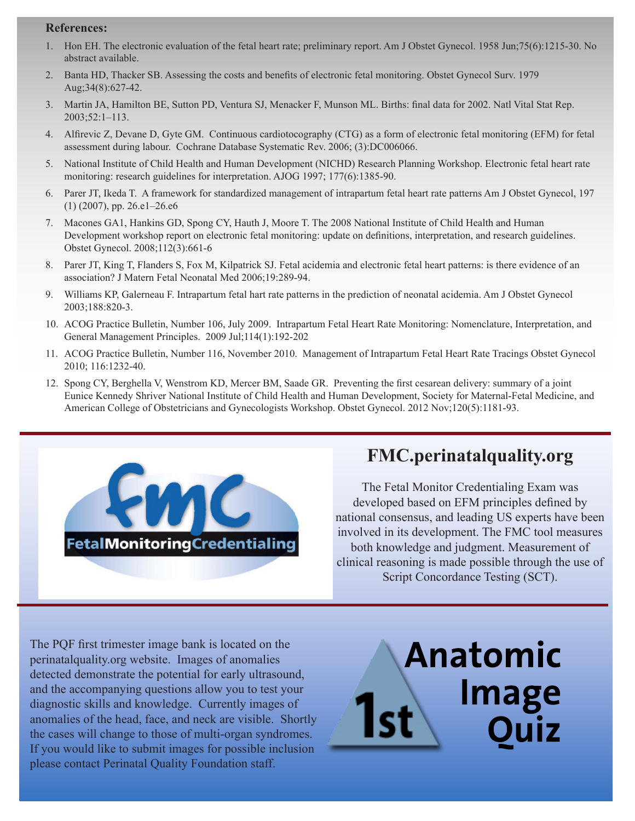#### **References:**

- 1. Hon EH. The electronic evaluation of the fetal heart rate; preliminary report. Am J Obstet Gynecol. 1958 Jun;75(6):1215-30. No abstract available.
- 2. Banta HD, Thacker SB. Assessing the costs and benefits of electronic fetal monitoring. Obstet Gynecol Surv. 1979 Aug;34(8):627-42.
- 3. Martin JA, Hamilton BE, Sutton PD, Ventura SJ, Menacker F, Munson ML. Births: final data for 2002. Natl Vital Stat Rep. 2003;52:1–113.
- 4. Alfirevic Z, Devane D, Gyte GM. Continuous cardiotocography (CTG) as a form of electronic fetal monitoring (EFM) for fetal assessment during labour. Cochrane Database Systematic Rev. 2006; (3):DC006066.
- 5. National Institute of Child Health and Human Development (NICHD) Research Planning Workshop. Electronic fetal heart rate monitoring: research guidelines for interpretation. AJOG 1997; 177(6):1385-90.
- 6. Parer JT, Ikeda T. A framework for standardized management of intrapartum fetal heart rate patterns Am J Obstet Gynecol, 197 (1) (2007), pp. 26.e1–26.e6
- 7. Macones GA1, Hankins GD, Spong CY, Hauth J, Moore T. The 2008 National Institute of Child Health and Human Development workshop report on electronic fetal monitoring: update on definitions, interpretation, and research guidelines. Obstet Gynecol. 2008;112(3):661-6
- 8. Parer JT, King T, Flanders S, Fox M, Kilpatrick SJ. Fetal acidemia and electronic fetal heart patterns: is there evidence of an association? J Matern Fetal Neonatal Med 2006;19:289-94.
- 9. Williams KP, Galerneau F. Intrapartum fetal hart rate patterns in the prediction of neonatal acidemia. Am J Obstet Gynecol 2003;188:820-3.
- 10. ACOG Practice Bulletin, Number 106, July 2009. Intrapartum Fetal Heart Rate Monitoring: Nomenclature, Interpretation, and General Management Principles. 2009 Jul;114(1):192-202
- 11. ACOG Practice Bulletin, Number 116, November 2010. Management of Intrapartum Fetal Heart Rate Tracings Obstet Gynecol 2010; 116:1232-40.
- 12. Spong CY, Berghella V, Wenstrom KD, Mercer BM, Saade GR. Preventing the first cesarean delivery: summary of a joint Eunice Kennedy Shriver National Institute of Child Health and Human Development, Society for Maternal-Fetal Medicine, and American College of Obstetricians and Gynecologists Workshop. Obstet Gynecol. 2012 Nov;120(5):1181-93.



# **FMC.perinatalquality.org**

The Fetal Monitor Credentialing Exam was developed based on EFM principles defined by national consensus, and leading US experts have been involved in its development. The FMC tool measures both knowledge and judgment. Measurement of clinical reasoning is made possible through the use of Script Concordance Testing (SCT).

The PQF first trimester image bank is located on the perinatalquality.org website. Images of anomalies detected demonstrate the potential for early ultrasound, and the accompanying questions allow you to test your diagnostic skills and knowledge. Currently images of anomalies of the head, face, and neck are visible. Shortly the cases will change to those of multi-organ syndromes. If you would like to submit images for possible inclusion please contact Perinatal Quality Foundation staff.

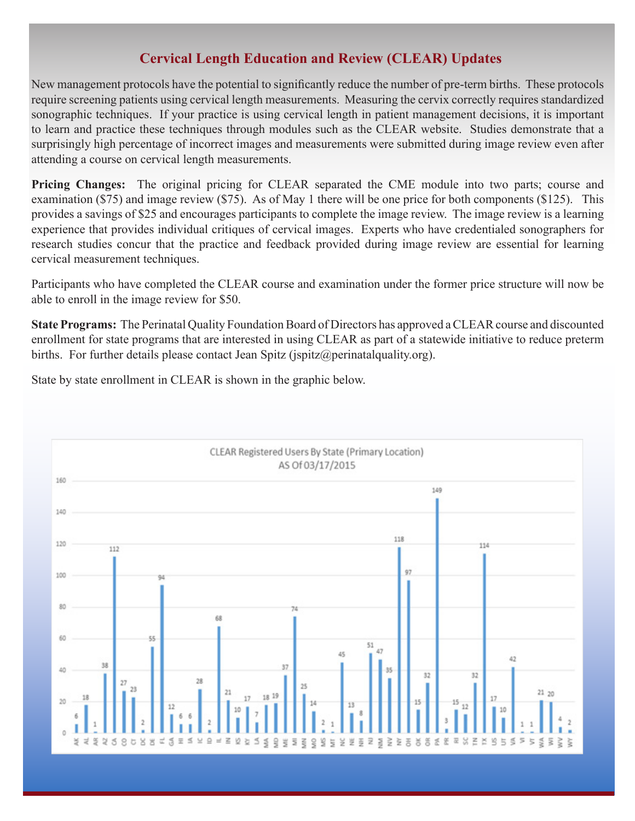#### **Cervical Length Education and Review (CLEAR) Updates**

New management protocols have the potential to significantly reduce the number of pre-term births. These protocols require screening patients using cervical length measurements. Measuring the cervix correctly requires standardized sonographic techniques. If your practice is using cervical length in patient management decisions, it is important to learn and practice these techniques through modules such as the CLEAR website. Studies demonstrate that a surprisingly high percentage of incorrect images and measurements were submitted during image review even after attending a course on cervical length measurements.

**Pricing Changes:** The original pricing for CLEAR separated the CME module into two parts; course and examination (\$75) and image review (\$75). As of May 1 there will be one price for both components (\$125). This provides a savings of \$25 and encourages participants to complete the image review. The image review is a learning experience that provides individual critiques of cervical images. Experts who have credentialed sonographers for research studies concur that the practice and feedback provided during image review are essential for learning cervical measurement techniques.

Participants who have completed the CLEAR course and examination under the former price structure will now be able to enroll in the image review for \$50.

**State Programs:** The Perinatal Quality Foundation Board of Directors has approved a CLEAR course and discounted enrollment for state programs that are interested in using CLEAR as part of a statewide initiative to reduce preterm births. For further details please contact Jean Spitz (ispitz $\omega$ ) perinatalquality.org).

State by state enrollment in CLEAR is shown in the graphic below.

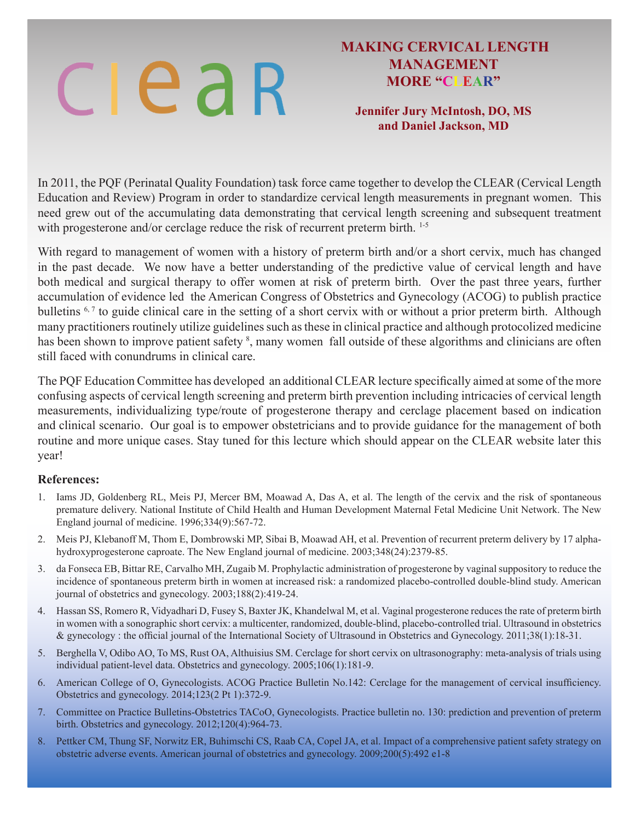# clear

#### **MAKING CERVICAL LENGTH MANAGEMENT MORE "CLEAR"**

#### **Jennifer Jury McIntosh, DO, MS and Daniel Jackson, MD**

In 2011, the PQF (Perinatal Quality Foundation) task force came together to develop the CLEAR (Cervical Length Education and Review) Program in order to standardize cervical length measurements in pregnant women. This need grew out of the accumulating data demonstrating that cervical length screening and subsequent treatment with progesterone and/or cerclage reduce the risk of recurrent preterm birth. <sup>1-5</sup>

With regard to management of women with a history of preterm birth and/or a short cervix, much has changed in the past decade. We now have a better understanding of the predictive value of cervical length and have both medical and surgical therapy to offer women at risk of preterm birth. Over the past three years, further accumulation of evidence led the American Congress of Obstetrics and Gynecology (ACOG) to publish practice bulletins <sup>6,7</sup> to guide clinical care in the setting of a short cervix with or without a prior preterm birth. Although many practitioners routinely utilize guidelines such as these in clinical practice and although protocolized medicine has been shown to improve patient safety <sup>8</sup>, many women fall outside of these algorithms and clinicians are often still faced with conundrums in clinical care.

The PQF Education Committee has developed an additional CLEAR lecture specifically aimed at some of the more confusing aspects of cervical length screening and preterm birth prevention including intricacies of cervical length measurements, individualizing type/route of progesterone therapy and cerclage placement based on indication and clinical scenario. Our goal is to empower obstetricians and to provide guidance for the management of both routine and more unique cases. Stay tuned for this lecture which should appear on the CLEAR website later this year!

#### **References:**

- 1. Iams JD, Goldenberg RL, Meis PJ, Mercer BM, Moawad A, Das A, et al. The length of the cervix and the risk of spontaneous premature delivery. National Institute of Child Health and Human Development Maternal Fetal Medicine Unit Network. The New England journal of medicine. 1996;334(9):567-72.
- 2. Meis PJ, Klebanoff M, Thom E, Dombrowski MP, Sibai B, Moawad AH, et al. Prevention of recurrent preterm delivery by 17 alphahydroxyprogesterone caproate. The New England journal of medicine. 2003;348(24):2379-85.
- 3. da Fonseca EB, Bittar RE, Carvalho MH, Zugaib M. Prophylactic administration of progesterone by vaginal suppository to reduce the incidence of spontaneous preterm birth in women at increased risk: a randomized placebo-controlled double-blind study. American journal of obstetrics and gynecology. 2003;188(2):419-24.
- 4. Hassan SS, Romero R, Vidyadhari D, Fusey S, Baxter JK, Khandelwal M, et al. Vaginal progesterone reduces the rate of preterm birth in women with a sonographic short cervix: a multicenter, randomized, double-blind, placebo-controlled trial. Ultrasound in obstetrics & gynecology : the official journal of the International Society of Ultrasound in Obstetrics and Gynecology. 2011;38(1):18-31.
- 5. Berghella V, Odibo AO, To MS, Rust OA, Althuisius SM. Cerclage for short cervix on ultrasonography: meta-analysis of trials using individual patient-level data. Obstetrics and gynecology. 2005;106(1):181-9.
- 6. American College of O, Gynecologists. ACOG Practice Bulletin No.142: Cerclage for the management of cervical insufficiency. Obstetrics and gynecology. 2014;123(2 Pt 1):372-9.
- 7. Committee on Practice Bulletins-Obstetrics TACoO, Gynecologists. Practice bulletin no. 130: prediction and prevention of preterm birth. Obstetrics and gynecology. 2012;120(4):964-73.
- 8. Pettker CM, Thung SF, Norwitz ER, Buhimschi CS, Raab CA, Copel JA, et al. Impact of a comprehensive patient safety strategy on obstetric adverse events. American journal of obstetrics and gynecology. 2009;200(5):492 e1-8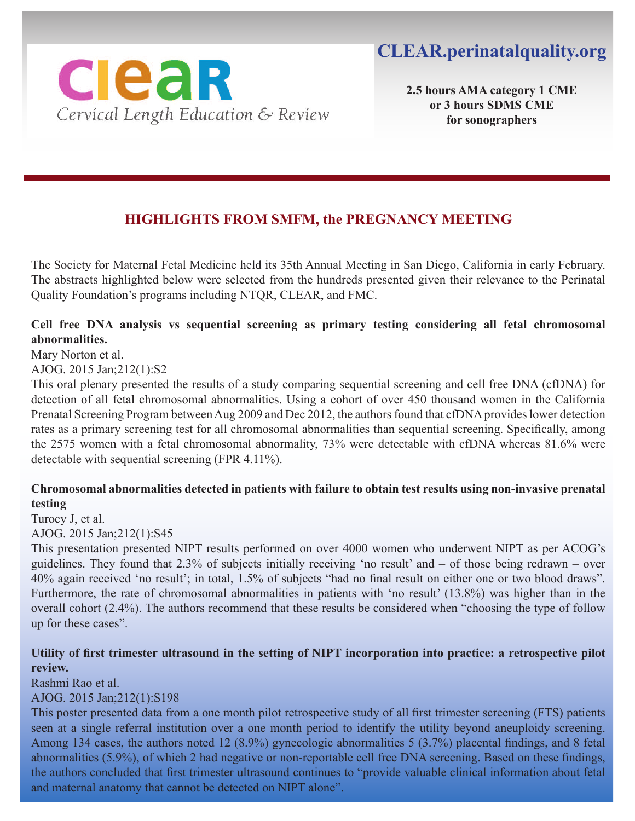

**2.5 hours AMA category 1 CME or 3 hours SDMS CME for sonographers**

## **HIGHLIGHTS FROM SMFM, the PREGNANCY MEETING**

The Society for Maternal Fetal Medicine held its 35th Annual Meeting in San Diego, California in early February. The abstracts highlighted below were selected from the hundreds presented given their relevance to the Perinatal Quality Foundation's programs including NTQR, CLEAR, and FMC.

#### **Cell free DNA analysis vs sequential screening as primary testing considering all fetal chromosomal abnormalities.**

Mary Norton et al.

AJOG. 2015 Jan;212(1):S2

This oral plenary presented the results of a study comparing sequential screening and cell free DNA (cfDNA) for detection of all fetal chromosomal abnormalities. Using a cohort of over 450 thousand women in the California Prenatal Screening Program between Aug 2009 and Dec 2012, the authors found that cfDNA provides lower detection rates as a primary screening test for all chromosomal abnormalities than sequential screening. Specifically, among the 2575 women with a fetal chromosomal abnormality, 73% were detectable with cfDNA whereas 81.6% were detectable with sequential screening (FPR 4.11%).

#### **Chromosomal abnormalities detected in patients with failure to obtain test results using non-invasive prenatal testing**

Turocy J, et al.

AJOG. 2015 Jan;212(1):S45

This presentation presented NIPT results performed on over 4000 women who underwent NIPT as per ACOG's guidelines. They found that 2.3% of subjects initially receiving 'no result' and – of those being redrawn – over 40% again received 'no result'; in total, 1.5% of subjects "had no final result on either one or two blood draws". Furthermore, the rate of chromosomal abnormalities in patients with 'no result' (13.8%) was higher than in the overall cohort (2.4%). The authors recommend that these results be considered when "choosing the type of follow up for these cases".

#### **Utility of first trimester ultrasound in the setting of NIPT incorporation into practice: a retrospective pilot review.**

Rashmi Rao et al.

AJOG. 2015 Jan;212(1):S198

This poster presented data from a one month pilot retrospective study of all first trimester screening (FTS) patients seen at a single referral institution over a one month period to identify the utility beyond aneuploidy screening. Among 134 cases, the authors noted 12 (8.9%) gynecologic abnormalities 5 (3.7%) placental findings, and 8 fetal abnormalities (5.9%), of which 2 had negative or non-reportable cell free DNA screening. Based on these findings, the authors concluded that first trimester ultrasound continues to "provide valuable clinical information about fetal and maternal anatomy that cannot be detected on NIPT alone".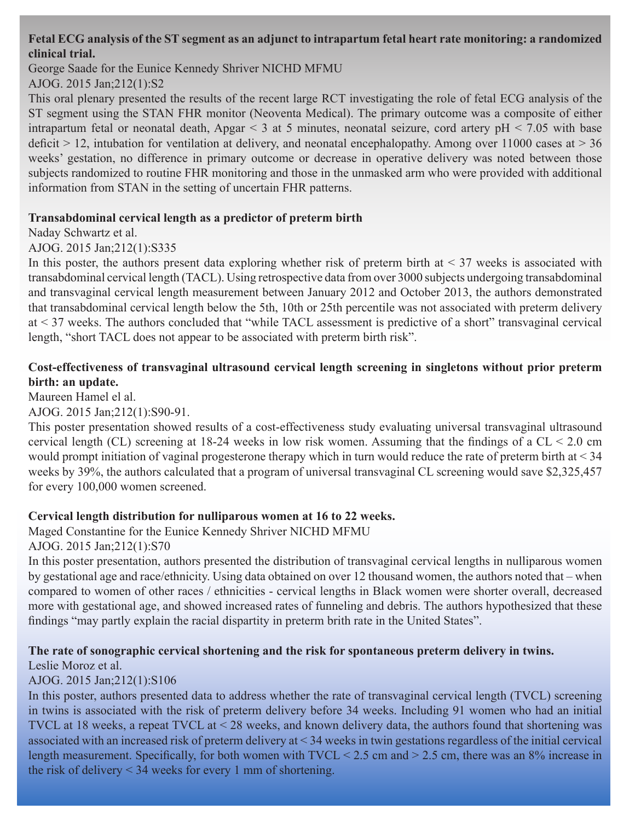#### **Fetal ECG analysis of the ST segment as an adjunct to intrapartum fetal heart rate monitoring: a randomized clinical trial.**

George Saade for the Eunice Kennedy Shriver NICHD MFMU AJOG. 2015 Jan;212(1):S2

This oral plenary presented the results of the recent large RCT investigating the role of fetal ECG analysis of the ST segment using the STAN FHR monitor (Neoventa Medical). The primary outcome was a composite of either intrapartum fetal or neonatal death, Apgar  $\leq$  3 at 5 minutes, neonatal seizure, cord artery pH  $\leq$  7.05 with base deficit  $> 12$ , intubation for ventilation at delivery, and neonatal encephalopathy. Among over 11000 cases at  $> 36$ weeks' gestation, no difference in primary outcome or decrease in operative delivery was noted between those subjects randomized to routine FHR monitoring and those in the unmasked arm who were provided with additional information from STAN in the setting of uncertain FHR patterns.

#### **Transabdominal cervical length as a predictor of preterm birth**

Naday Schwartz et al.

#### AJOG. 2015 Jan;212(1):S335

In this poster, the authors present data exploring whether risk of preterm birth at  $\leq$  37 weeks is associated with transabdominal cervical length (TACL). Using retrospective data from over 3000 subjects undergoing transabdominal and transvaginal cervical length measurement between January 2012 and October 2013, the authors demonstrated that transabdominal cervical length below the 5th, 10th or 25th percentile was not associated with preterm delivery at < 37 weeks. The authors concluded that "while TACL assessment is predictive of a short" transvaginal cervical length, "short TACL does not appear to be associated with preterm birth risk".

#### **Cost-effectiveness of transvaginal ultrasound cervical length screening in singletons without prior preterm birth: an update.**

Maureen Hamel el al.

#### AJOG. 2015 Jan;212(1):S90-91.

This poster presentation showed results of a cost-effectiveness study evaluating universal transvaginal ultrasound cervical length (CL) screening at 18-24 weeks in low risk women. Assuming that the findings of a CL < 2.0 cm would prompt initiation of vaginal progesterone therapy which in turn would reduce the rate of preterm birth at < 34 weeks by 39%, the authors calculated that a program of universal transvaginal CL screening would save \$2,325,457 for every 100,000 women screened.

#### **Cervical length distribution for nulliparous women at 16 to 22 weeks.**

Maged Constantine for the Eunice Kennedy Shriver NICHD MFMU

AJOG. 2015 Jan;212(1):S70

In this poster presentation, authors presented the distribution of transvaginal cervical lengths in nulliparous women by gestational age and race/ethnicity. Using data obtained on over 12 thousand women, the authors noted that – when compared to women of other races / ethnicities - cervical lengths in Black women were shorter overall, decreased more with gestational age, and showed increased rates of funneling and debris. The authors hypothesized that these findings "may partly explain the racial dispartity in preterm brith rate in the United States".

#### **The rate of sonographic cervical shortening and the risk for spontaneous preterm delivery in twins.**

Leslie Moroz et al.

#### AJOG. 2015 Jan;212(1):S106

In this poster, authors presented data to address whether the rate of transvaginal cervical length (TVCL) screening in twins is associated with the risk of preterm delivery before 34 weeks. Including 91 women who had an initial TVCL at 18 weeks, a repeat TVCL at < 28 weeks, and known delivery data, the authors found that shortening was associated with an increased risk of preterm delivery at < 34 weeks in twin gestations regardless of the initial cervical length measurement. Specifically, for both women with TVCL < 2.5 cm and > 2.5 cm, there was an 8% increase in the risk of delivery < 34 weeks for every 1 mm of shortening.